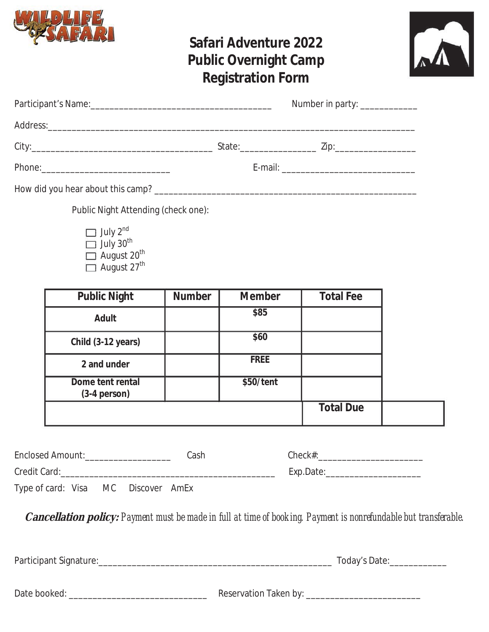

# **Safari Adventure 2022 Public Overnight Camp Registration Form**



|                                   | Number in party: _____________ |                       |  |  |
|-----------------------------------|--------------------------------|-----------------------|--|--|
|                                   |                                |                       |  |  |
|                                   |                                | State: 2010 2012 210: |  |  |
|                                   |                                |                       |  |  |
| How did you hear about this camp? |                                |                       |  |  |

Public Night Attending (check one):

 $\Box$  July 2<sup>nd</sup> July 30<sup>th</sup> August 20<sup>th</sup> August 27<sup>th</sup>

| <b>Public Night</b>                | <b>Number</b> | <b>Member</b> | <b>Total Fee</b> |
|------------------------------------|---------------|---------------|------------------|
| Adult                              |               | \$85          |                  |
| Child (3-12 years)                 |               | \$60          |                  |
| 2 and under                        |               | <b>FREE</b>   |                  |
| Dome tent rental<br>$(3-4$ person) |               | \$50/tent     |                  |
|                                    |               |               | <b>Total Due</b> |

| Enclosed Amount:                    |  | Cash | $Check\#$ |
|-------------------------------------|--|------|-----------|
| Credit Card:                        |  |      | Exp.Date: |
| Type of card: Visa MC Discover AmEx |  |      |           |

**Cancellation policy:** *Payment must be made in full at time of booking. Payment is nonrefundable but transferable.* 

Participant Signature:\_\_\_\_\_\_\_\_\_\_\_\_\_\_\_\_\_\_\_\_\_\_\_\_\_\_\_\_\_\_\_\_\_\_\_\_\_\_\_\_\_\_\_\_\_\_\_\_\_ Today's Date:\_\_\_\_\_\_\_\_\_\_\_\_

| Date booked: |  |
|--------------|--|
|--------------|--|

Date booked: \_\_\_\_\_\_\_\_\_\_\_\_\_\_\_\_\_\_\_\_\_\_\_\_\_\_\_\_\_ Reservation Taken by: \_\_\_\_\_\_\_\_\_\_\_\_\_\_\_\_\_\_\_\_\_\_\_\_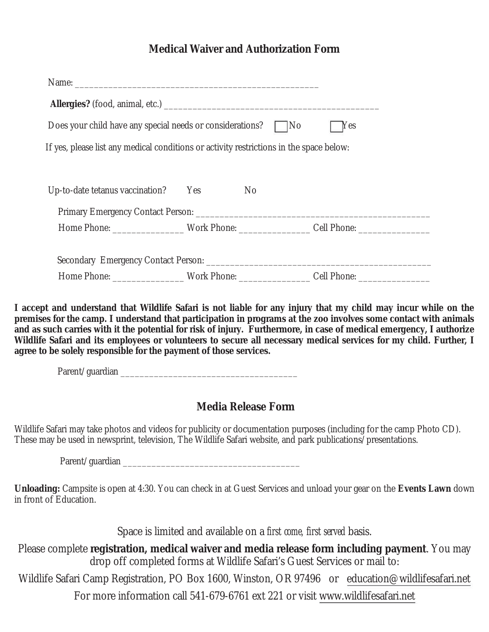## **Medical Waiver and Authorization Form**

| Does your child have any special needs or considerations? No                            |                | <b>Yes</b>                                                                                           |
|-----------------------------------------------------------------------------------------|----------------|------------------------------------------------------------------------------------------------------|
| If yes, please list any medical conditions or activity restrictions in the space below: |                |                                                                                                      |
|                                                                                         |                |                                                                                                      |
| Up-to-date tetanus vaccination? Yes                                                     | N <sub>0</sub> |                                                                                                      |
|                                                                                         |                |                                                                                                      |
|                                                                                         |                | Home Phone: _____________________Work Phone: __________________Cell Phone: _________________________ |
|                                                                                         |                |                                                                                                      |
|                                                                                         |                |                                                                                                      |
|                                                                                         |                |                                                                                                      |
|                                                                                         |                |                                                                                                      |

**I accept and understand that Wildlife Safari is not liable for any injury that my child may incur while on the premises for the camp. I understand that participation in programs at the zoo involves some contact with animals and as such carries with it the potential for risk of injury. Furthermore, in case of medical emergency, I authorize Wildlife Safari and its employees or volunteers to secure all necessary medical services for my child. Further, I agree to be solely responsible for the payment of those services.** 

Parent/guardian \_\_\_\_\_\_\_\_\_\_\_\_\_\_\_\_\_\_\_\_\_\_\_\_\_\_\_\_\_\_\_\_\_\_\_\_\_

### **Media Release Form**

Wildlife Safari may take photos and videos for publicity or documentation purposes (including for the camp Photo CD). These may be used in newsprint, television, The Wildlife Safari website, and park publications/presentations.

Parent/guardian

**Unloading:** Campsite is open at 4:30. You can check in at Guest Services and unload your gear on the **Events Lawn** down in front of Education.

Space is limited and available on a *first come, first served* basis.

Please complete **registration, medical waiver and media release form including payment**. You may drop off completed forms at Wildlife Safari's Guest Services or mail to: Wildlife Safari Camp Registration, PO Box 1600, Winston, OR 97496 or education@wildlifesafari.net

For more information call 541-679-6761 ext 221 or visit www.wildlifesafari.net